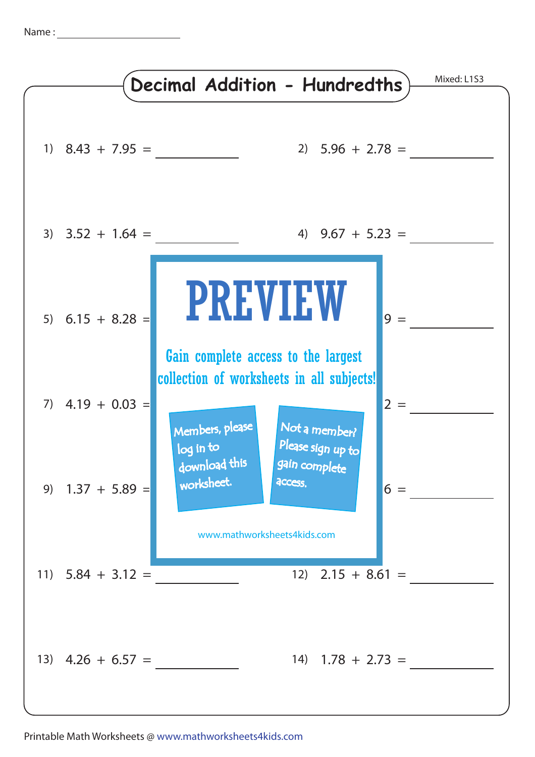